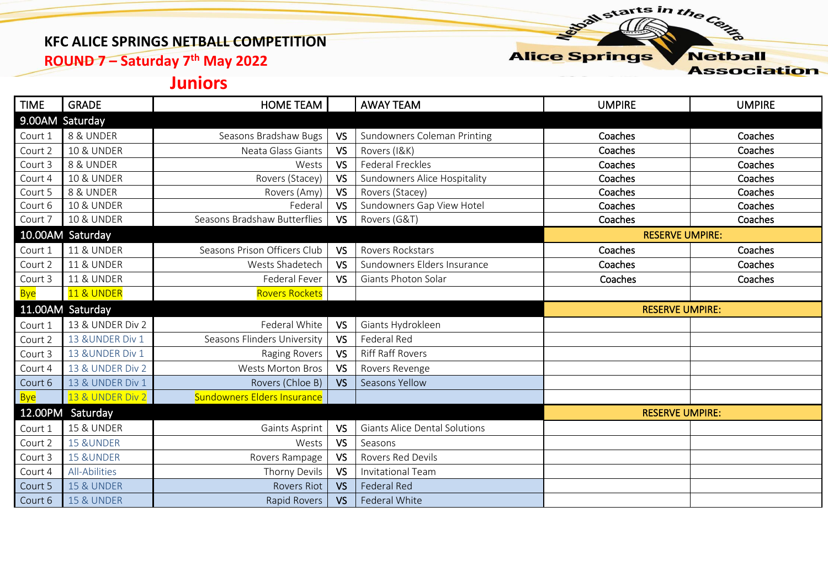#### **KFC ALICE SPRINGS NETBALL COMPETITION**

**ROUND 7 – Saturday 7 th May 2022**

#### **Alice Springs**

starts in the Centre

**Association** 

**Netball** 

### **Juniors**

| <b>TIME</b> | <b>GRADE</b>          | <b>HOME TEAM</b>                   |           | <b>AWAY TEAM</b>              | <b>UMPIRE</b>          | <b>UMPIRE</b> |
|-------------|-----------------------|------------------------------------|-----------|-------------------------------|------------------------|---------------|
|             | 9.00AM Saturday       |                                    |           |                               |                        |               |
| Court 1     | 8 & UNDER             | Seasons Bradshaw Bugs              | <b>VS</b> | Sundowners Coleman Printing   | Coaches                | Coaches       |
| Court 2     | <b>10 &amp; UNDER</b> | Neata Glass Giants                 | <b>VS</b> | Rovers (I&K)                  | Coaches                | Coaches       |
| Court 3     | 8 & UNDER             | Wests                              | <b>VS</b> | <b>Federal Freckles</b>       | Coaches                | Coaches       |
| Court 4     | <b>10 &amp; UNDER</b> | Rovers (Stacey)                    | <b>VS</b> | Sundowners Alice Hospitality  | Coaches                | Coaches       |
| Court 5     | 8 & UNDER             | Rovers (Amy)                       | <b>VS</b> | Rovers (Stacey)               | Coaches                | Coaches       |
| Court 6     | <b>10 &amp; UNDER</b> | Federal                            | <b>VS</b> | Sundowners Gap View Hotel     | Coaches                | Coaches       |
| Court 7     | <b>10 &amp; UNDER</b> | Seasons Bradshaw Butterflies       | <b>VS</b> | Rovers (G&T)                  | Coaches                | Coaches       |
|             | 10.00AM Saturday      |                                    |           | <b>RESERVE UMPIRE:</b>        |                        |               |
| Court 1     | <b>11 &amp; UNDER</b> | Seasons Prison Officers Club       | <b>VS</b> | Rovers Rockstars              | Coaches                | Coaches       |
| Court 2     | <b>11 &amp; UNDER</b> | Wests Shadetech                    | <b>VS</b> | Sundowners Elders Insurance   | Coaches                | Coaches       |
| Court 3     | <b>11 &amp; UNDER</b> | <b>Federal Fever</b>               | <b>VS</b> | Giants Photon Solar           | Coaches                | Coaches       |
| <b>Bye</b>  | 11 & UNDER            | <b>Rovers Rockets</b>              |           |                               |                        |               |
|             |                       |                                    |           |                               | <b>RESERVE UMPIRE:</b> |               |
|             | 11.00AM Saturday      |                                    |           |                               |                        |               |
| Court 1     | 13 & UNDER Div 2      | Federal White                      | <b>VS</b> | Giants Hydrokleen             |                        |               |
| Court 2     | 13 & UNDER Div 1      | Seasons Flinders University        | <b>VS</b> | Federal Red                   |                        |               |
| Court 3     | 13 & UNDER Div 1      | Raging Rovers                      | <b>VS</b> | <b>Riff Raff Rovers</b>       |                        |               |
| Court 4     | 13 & UNDER Div 2      | <b>Wests Morton Bros</b>           | <b>VS</b> | Rovers Revenge                |                        |               |
| Court 6     | 13 & UNDER Div 1      | Rovers (Chloe B)                   | <b>VS</b> | Seasons Yellow                |                        |               |
| <b>Bye</b>  | 13 & UNDER Div 2      | <b>Sundowners Elders Insurance</b> |           |                               |                        |               |
|             | 12.00PM Saturday      |                                    |           |                               | <b>RESERVE UMPIRE:</b> |               |
| Court 1     | <b>15 &amp; UNDER</b> | Gaints Asprint                     | <b>VS</b> | Giants Alice Dental Solutions |                        |               |
| Court 2     | <b>15 &amp;UNDER</b>  | Wests                              | <b>VS</b> | Seasons                       |                        |               |
| Court 3     | 15 & UNDER            | Rovers Rampage                     | <b>VS</b> | <b>Rovers Red Devils</b>      |                        |               |
| Court 4     | All-Abilities         | Thorny Devils                      | <b>VS</b> | <b>Invitational Team</b>      |                        |               |
| Court 5     | <b>15 &amp; UNDER</b> | <b>Rovers Riot</b>                 | <b>VS</b> | <b>Federal Red</b>            |                        |               |